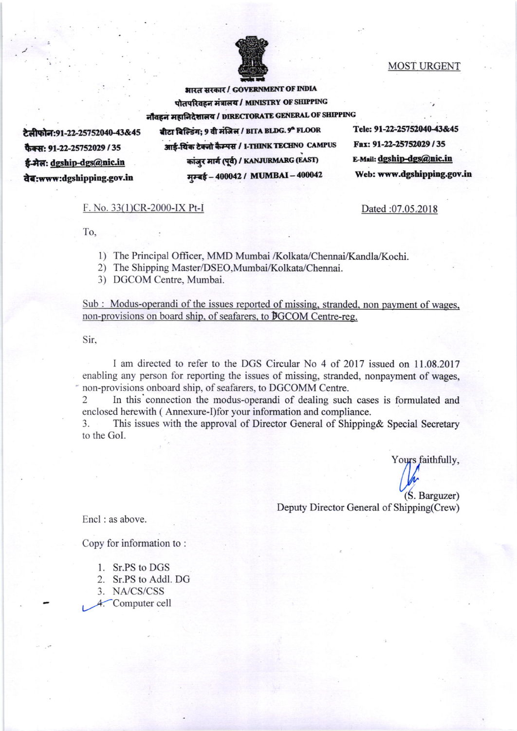

## MOST URGENT

भारत सरकार / GOVERNMENT OF INDIA पोतपरिवहन मंत्रालय / MINISTRY OF SHIPPING नौवहन महानिदेशालय / DIRECTORATE GENERAL OF SHIPPING बीटा बिल्डिंग; 9 वी मंजिल / BITA BLDG. 9ª FLOOR Tele: 91-22-25752040-43&45 आई-यिक टेक्नो कैम्पस / I-THINK TECHNO CAMPUS Fax: 91-22-25752029 / 35 ग्रांजुर मार्ग (पूर्व) / KANJURMARG (EAST) E-Mail: dgship-dgs@nic.in मम्बई - 400042 / MUMBAI - 400042 Web: www.dgshipping.gov.in

Dated :07.05.2018

## F. No. 33(1)CR-2000-IX Pt-l

 $\Gamma$ o,  $\qquad \qquad$  :

टेलीफोन:91-22-25752040-43&45

फैक्स: 91-22-25752029 / 35 ई-मेल: dgship-dgs@nic.in iT:www:dgshipping.gov.in

- 1) The Principal Officer, MMD Mumbai /Kolkata/Chennai/Kandla/Kochi.
- 2) The Shipping Master/DSEO,Mumbai/Kolkata/Chennai.
- 3) DGCOM Centre, Mumbai.

Sub : Modus-operandi of the issues reported of missing, stranded, non payment of wages. non-provisions on board ship. of seafarers. to DGCOM Centre-reg.

Sir.

I am directed to refer to the DGS Circular No 4 of 2017 issued on 11.08.2017 enabling any person for reporting the issues of missing, stranded, nonpayment of wages, non-provisions onboard ship, of seafarers, to DGCOMM Centre.

In this connection the modus-operandi of dealing such cases is formulated and enclosed herewith ( Annexure-I)for your information and compliance.

3. This issues with the approval of Director General of Shipping& Special Secretary to the Gol.

Yours faithfully,  $(S.$  Barguzer $)$ 

Deputy Director General of Shipping(Crew)

Encl : as above.

Copy for information to :

1. Sr.PS to DGS

2. Sr.PS to Addl. DG

3. NA/CS/CSS

4. Computer cell